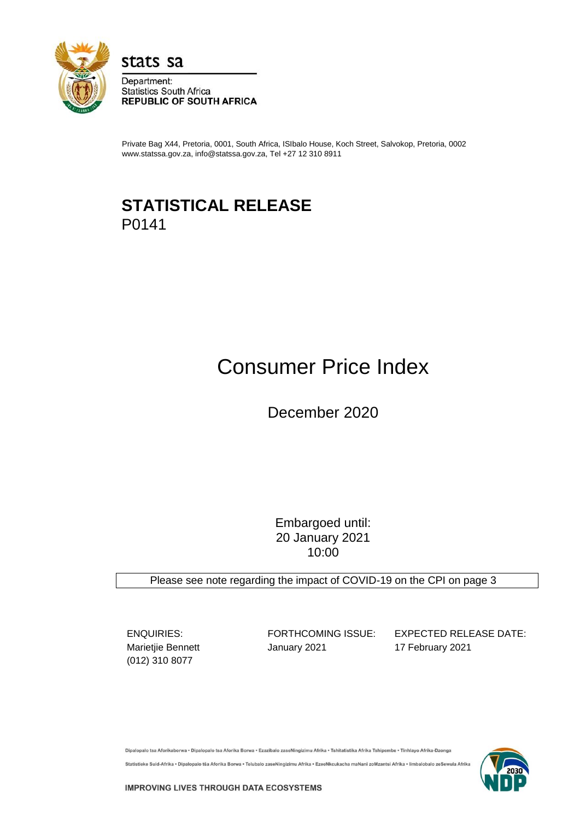

stats sa

Department: **Statistics South Africa REPUBLIC OF SOUTH AFRICA** 

Private Bag X44, Pretoria, 0001, South Africa, ISIbalo House, Koch Street, Salvokop, Pretoria, 0002 www.statssa.gov.za, info@statssa.gov.za, Tel +27 12 310 8911

## **STATISTICAL RELEASE** P0141

# Consumer Price Index

December 2020

Embargoed until: 20 January 2021 10:00

Please see note regarding the impact of COVID-19 on the CPI on page 3

(012) 310 8077

Marietjie Bennett **January 2021** 17 February 2021

ENQUIRIES: FORTHCOMING ISSUE: EXPECTED RELEASE DATE:

Dipalopalo tsa Aforikaborwa • Dipalopalo tsa Aforika Borwa • Ezazibalo zaseNingizimu Afrika • Tshitatistika Afrika Tshipembe • Tinhlayo Afrika-Dzonga Statistieke Suid-Afrika • Dipalopalo tša Aforika Borwa • Telubalo zaseNingizimu Afrika • EzeeNkcukacha maNani zoMzantsi Afrika • limbalobalo zeSewula Afrika

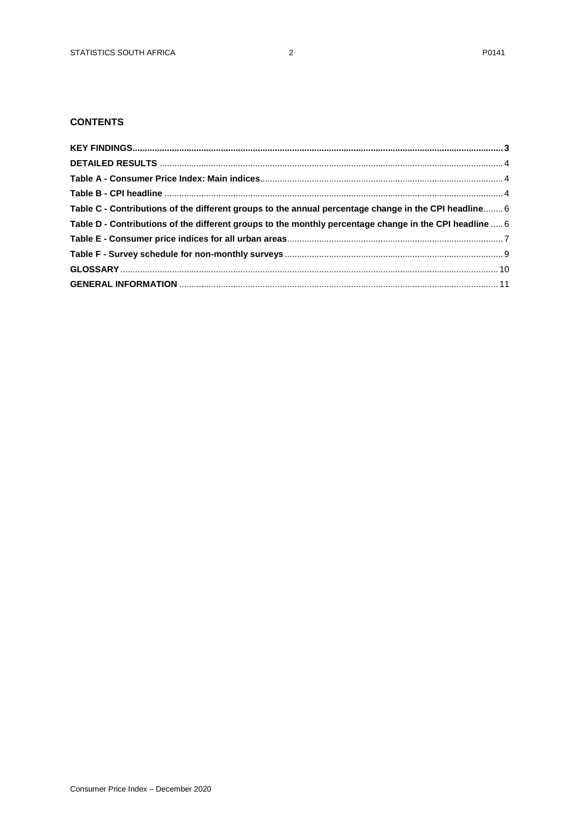## **CONTENTS**

| Table C - Contributions of the different groups to the annual percentage change in the CPI headline 6   |  |
|---------------------------------------------------------------------------------------------------------|--|
| Table D - Contributions of the different groups to the monthly percentage change in the CPI headline  6 |  |
|                                                                                                         |  |
|                                                                                                         |  |
|                                                                                                         |  |
|                                                                                                         |  |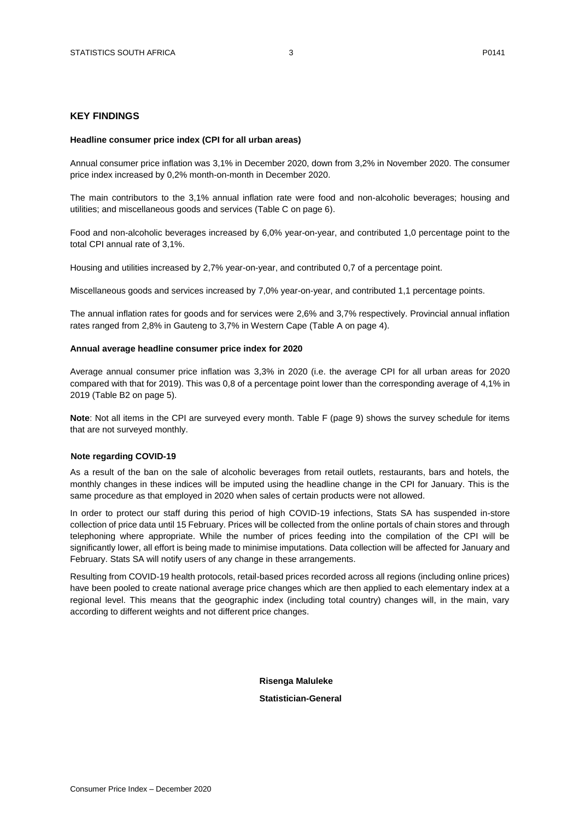#### <span id="page-2-0"></span>**KEY FINDINGS**

#### **Headline consumer price index (CPI for all urban areas)**

Annual consumer price inflation was 3,1% in December 2020, down from 3,2% in November 2020. The consumer price index increased by 0,2% month-on-month in December 2020.

The main contributors to the 3,1% annual inflation rate were food and non-alcoholic beverages; housing and utilities; and miscellaneous goods and services (Table C on page 6).

Food and non-alcoholic beverages increased by 6,0% year-on-year, and contributed 1,0 percentage point to the total CPI annual rate of 3,1%.

Housing and utilities increased by 2,7% year-on-year, and contributed 0,7 of a percentage point.

Miscellaneous goods and services increased by 7,0% year-on-year, and contributed 1,1 percentage points.

The annual inflation rates for goods and for services were 2,6% and 3,7% respectively. Provincial annual inflation rates ranged from 2,8% in Gauteng to 3,7% in Western Cape (Table A on page 4).

#### **Annual average headline consumer price index for 2020**

Average annual consumer price inflation was 3,3% in 2020 (i.e. the average CPI for all urban areas for 2020 compared with that for 2019). This was 0,8 of a percentage point lower than the corresponding average of 4,1% in 2019 (Table B2 on page 5).

**Note**: Not all items in the CPI are surveyed every month. Table F (page 9) shows the survey schedule for items that are not surveyed monthly.

#### **Note regarding COVID-19**

As a result of the ban on the sale of alcoholic beverages from retail outlets, restaurants, bars and hotels, the monthly changes in these indices will be imputed using the headline change in the CPI for January. This is the same procedure as that employed in 2020 when sales of certain products were not allowed.

In order to protect our staff during this period of high COVID-19 infections, Stats SA has suspended in-store collection of price data until 15 February. Prices will be collected from the online portals of chain stores and through telephoning where appropriate. While the number of prices feeding into the compilation of the CPI will be significantly lower, all effort is being made to minimise imputations. Data collection will be affected for January and February. Stats SA will notify users of any change in these arrangements.

Resulting from COVID-19 health protocols, retail-based prices recorded across all regions (including online prices) have been pooled to create national average price changes which are then applied to each elementary index at a regional level. This means that the geographic index (including total country) changes will, in the main, vary according to different weights and not different price changes.

#### **Risenga Maluleke**

 **Statistician-General**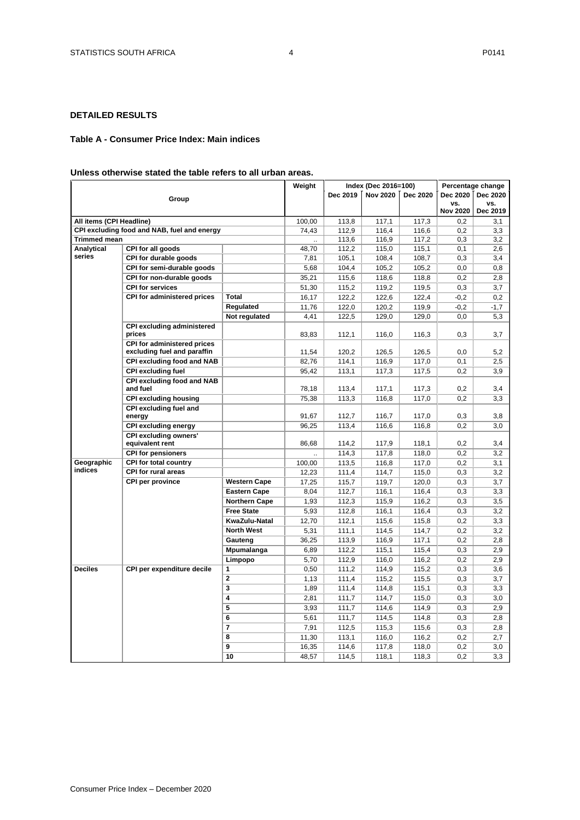## <span id="page-3-0"></span>**DETAILED RESULTS**

#### <span id="page-3-2"></span><span id="page-3-1"></span>**Table A - Consumer Price Index: Main indices**

#### **Unless otherwise stated the table refers to all urban areas.**

|                          |                                                            | Weight                  |        | Index (Dec 2016=100) | Percentage change |          |                        |                 |
|--------------------------|------------------------------------------------------------|-------------------------|--------|----------------------|-------------------|----------|------------------------|-----------------|
|                          | Group                                                      |                         |        | Dec 2019             | <b>Nov 2020</b>   | Dec 2020 | Dec 2020               | Dec 2020        |
|                          |                                                            |                         |        |                      |                   |          | VS.<br><b>Nov 2020</b> | VS.<br>Dec 2019 |
| All items (CPI Headline) |                                                            |                         | 100,00 | 113,8                | 117,1             | 117,3    | 0,2                    | 3,1             |
|                          | CPI excluding food and NAB, fuel and energy                |                         | 74,43  | 112,9                | 116,4             | 116,6    | 0,2                    | 3,3             |
| <b>Trimmed mean</b>      |                                                            |                         |        | 113,6                | 116,9             | 117,2    | 0,3                    | 3,2             |
| Analytical               | CPI for all goods                                          |                         | 48,70  | 112,2                | 115,0             | 115,1    | 0,1                    | 2,6             |
| series                   | CPI for durable goods                                      |                         | 7,81   | 105,1                | 108,4             | 108,7    | 0,3                    | 3,4             |
|                          | CPI for semi-durable goods                                 |                         | 5,68   | 104,4                | 105,2             | 105,2    | 0,0                    | 0,8             |
|                          | CPI for non-durable goods                                  |                         | 35,21  | 115,6                | 118,6             | 118,8    | 0,2                    | 2,8             |
|                          | <b>CPI for services</b>                                    |                         | 51,30  | 115,2                | 119,2             | 119,5    | 0,3                    | 3,7             |
|                          | CPI for administered prices                                | <b>Total</b>            | 16,17  | 122,2                | 122,6             | 122,4    | $-0,2$                 | 0,2             |
|                          |                                                            | Regulated               | 11,76  | 122,0                | 120,2             | 119,9    | $-0,2$                 | $-1,7$          |
|                          |                                                            | Not regulated           | 4,41   | 122,5                | 129,0             | 129,0    | 0,0                    | 5,3             |
|                          | <b>CPI excluding administered</b>                          |                         |        |                      |                   |          |                        |                 |
|                          | prices                                                     |                         | 83,83  | 112,1                | 116,0             | 116,3    | 0,3                    | 3,7             |
|                          | CPI for administered prices<br>excluding fuel and paraffin |                         | 11,54  | 120,2                | 126,5             | 126,5    | 0,0                    | 5,2             |
|                          | CPI excluding food and NAB                                 |                         | 82,76  | 114,1                | 116,9             | 117,0    | 0,1                    | 2,5             |
|                          | <b>CPI excluding fuel</b>                                  |                         | 95,42  | 113,1                | 117,3             | 117,5    | 0,2                    | 3,9             |
|                          | <b>CPI excluding food and NAB</b><br>and fuel              |                         | 78,18  | 113,4                | 117,1             | 117,3    | 0,2                    | 3,4             |
|                          | <b>CPI excluding housing</b>                               |                         | 75,38  | 113,3                | 116,8             | 117,0    | 0,2                    | 3,3             |
|                          | CPI excluding fuel and                                     |                         |        |                      |                   |          |                        |                 |
|                          | energy                                                     |                         | 91,67  | 112,7                | 116,7             | 117,0    | 0,3                    | 3,8             |
|                          | <b>CPI excluding energy</b>                                |                         | 96,25  | 113,4                | 116,6             | 116,8    | 0,2                    | 3,0             |
|                          | <b>CPI excluding owners'</b><br>equivalent rent            |                         | 86,68  | 114,2                | 117,9             | 118,1    | 0,2                    | 3,4             |
|                          | <b>CPI for pensioners</b>                                  |                         |        | 114,3                | 117,8             | 118,0    | 0,2                    | 3,2             |
| Geographic               | <b>CPI for total country</b>                               |                         | 100,00 | 113,5                | 116,8             | 117,0    | 0,2                    | 3,1             |
| <b>indices</b>           | <b>CPI for rural areas</b>                                 |                         | 12,23  | 111,4                | 114,7             | 115,0    | 0,3                    | 3,2             |
|                          | CPI per province                                           | <b>Western Cape</b>     | 17,25  | 115,7                | 119,7             | 120,0    | 0,3                    | 3,7             |
|                          |                                                            | <b>Eastern Cape</b>     | 8,04   | 112,7                | 116,1             | 116,4    | 0,3                    | 3,3             |
|                          |                                                            | <b>Northern Cape</b>    | 1,93   | 112,3                | 115,9             | 116,2    | 0,3                    | 3,5             |
|                          |                                                            | <b>Free State</b>       | 5,93   | 112,8                | 116,1             | 116,4    | 0,3                    | 3,2             |
|                          |                                                            | KwaZulu-Natal           | 12,70  | 112,1                | 115,6             | 115,8    | 0,2                    | 3,3             |
|                          |                                                            | <b>North West</b>       | 5,31   | 111,1                | 114,5             | 114,7    | 0,2                    | 3,2             |
|                          |                                                            | Gauteng                 | 36,25  | 113,9                | 116,9             | 117,1    | 0,2                    | 2,8             |
|                          |                                                            | Mpumalanga              | 6,89   | 112,2                | 115,1             | 115,4    | 0,3                    | 2,9             |
|                          |                                                            | Limpopo                 | 5,70   | 112,9                | 116,0             | 116,2    | 0,2                    | 2,9             |
| <b>Deciles</b>           | CPI per expenditure decile                                 | $\mathbf{1}$            | 0,50   | 111,2                | 114,9             | 115,2    | 0,3                    | 3,6             |
|                          |                                                            | $\overline{2}$          | 1,13   | 111,4                | 115,2             | 115,5    | 0,3                    | 3,7             |
|                          |                                                            | $\overline{\mathbf{3}}$ | 1,89   | 111,4                | 114,8             | 115,1    | 0,3                    | 3,3             |
|                          |                                                            | 4                       | 2,81   | 111,7                | 114,7             | 115,0    | 0,3                    | 3,0             |
|                          |                                                            | 5                       | 3,93   | 111,7                | 114,6             | 114,9    | 0,3                    | 2,9             |
|                          |                                                            | 6                       | 5,61   | 111,7                | 114,5             | 114,8    | 0,3                    | 2,8             |
|                          |                                                            | $\overline{7}$          | 7,91   | 112,5                | 115,3             | 115,6    | 0,3                    | 2,8             |
|                          |                                                            | 8                       | 11,30  | 113,1                | 116,0             | 116,2    | 0,2                    | 2,7             |
|                          |                                                            | 9                       | 16,35  | 114,6                | 117,8             | 118,0    | 0,2                    | 3,0             |
|                          |                                                            | 10                      | 48,57  | 114,5                | 118,1             | 118,3    | 0,2                    | 3,3             |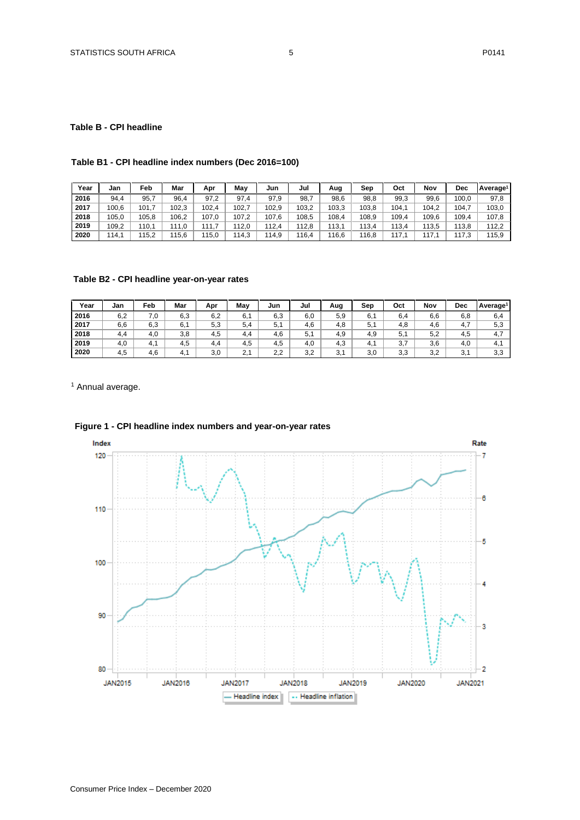#### **Table B - CPI headline**

## **Table B1 - CPI headline index numbers (Dec 2016=100)**

| Year | Jan   | Feb   | Mar   | Apr   | Mav   | Jun   | Jul   | Aug   | Sep   | Oct   | Nov   | Dec   | Average <sup>1</sup> |
|------|-------|-------|-------|-------|-------|-------|-------|-------|-------|-------|-------|-------|----------------------|
| 2016 | 94.4  | 95.7  | 96,4  | 97,2  | 97.4  | 97.9  | 98,7  | 98,6  | 98.8  | 99,3  | 99,6  | 100,0 | 97,8                 |
| 2017 | 100,6 | 101.  | 102.3 | 102,4 | 102.  | 102,9 | 103,2 | 103,3 | 103.8 | 104.1 | 104,2 | 104,  | 103,0                |
| 2018 | 105.0 | 105.8 | 106.2 | 107.0 | 107,2 | 107.6 | 108.5 | 108.4 | 108.9 | 109.4 | 109.6 | 109,4 | 107.8                |
| 2019 | 109,2 | 110.1 | 111.0 | 11.7  | 112,0 | 112.4 | 112,8 | 113,1 | 113.4 | 113,4 | 113,5 | 113.8 | 112,2                |
| 2020 | 114.1 | 115.2 | 115.6 | 15,0  | 114.3 | 114.9 | 116,4 | 116.6 | 16.8  | 117.1 | 117.  | 117.3 | 115,9                |

## **Table B2 - CPI headline year-on-year rates**

| Year | Jan | Feb | Mar | Apr | Mav | Jun | Jul | Aug | Sep   | Oct | Nov | <b>Dec</b>           | Average <sup>1</sup> |
|------|-----|-----|-----|-----|-----|-----|-----|-----|-------|-----|-----|----------------------|----------------------|
| 2016 | 6,2 | 7.0 | 6,3 | 6,2 | 6.7 | 6,3 | 6,0 | 5,9 | 6,1   | 6.4 | 6,6 | 6,8                  | 6,4                  |
| 2017 | 6.6 | 6,3 | 6,1 | 5,3 | 5.4 | 5.  | 4.6 | 4.8 | 5.1   | 4.8 | 4.6 | 4.7                  | 5.3                  |
| 2018 | 4.4 | 4.0 | 3,8 | 4.5 | 4.4 | 4.6 | 5.1 | 4.9 | 4.9   | 5.1 | 5.2 | 4,5                  |                      |
| 2019 | 4.0 | 4.1 | 4.5 | 4.4 | 4,5 | 4.5 | 4.0 | 4.3 | -4. . | 3,7 | 3,6 | 4,0                  | 4. .                 |
| 2020 | 4,5 | 4,6 | 4.1 | 3,0 | 2.1 | 2.2 | 3,2 | 3,1 | 3,0   | 3,3 | 3,2 | 2 <sub>1</sub><br>J. | 3.3                  |

<sup>1</sup> Annual average.



## **Figure 1 - CPI headline index numbers and year-on-year rates**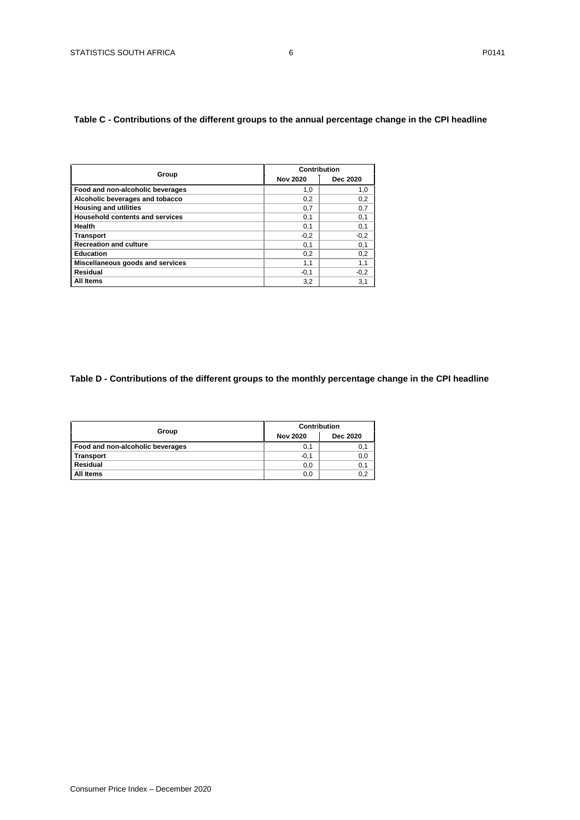## <span id="page-5-1"></span><span id="page-5-0"></span>**Table C - Contributions of the different groups to the annual percentage change in the CPI headline**

|                                        | Contribution    |          |
|----------------------------------------|-----------------|----------|
| Group                                  | <b>Nov 2020</b> | Dec 2020 |
| Food and non-alcoholic beverages       | 1,0             | 1,0      |
| Alcoholic beverages and tobacco        | 0,2             | 0,2      |
| <b>Housing and utilities</b>           | 0.7             | 0,7      |
| <b>Household contents and services</b> | 0,1             | 0,1      |
| Health                                 | 0,1             | 0,1      |
| <b>Transport</b>                       | $-0,2$          | $-0,2$   |
| <b>Recreation and culture</b>          | 0,1             | 0,1      |
| <b>Education</b>                       | 0,2             | 0,2      |
| Miscellaneous goods and services       | 1,1             | 1,1      |
| Residual                               | $-0,1$          | $-0,2$   |
| All Items                              | 3,2             | 3,1      |

## **Table D - Contributions of the different groups to the monthly percentage change in the CPI headline**

|                                  | <b>Contribution</b> |          |  |  |  |
|----------------------------------|---------------------|----------|--|--|--|
| Group                            | <b>Nov 2020</b>     | Dec 2020 |  |  |  |
| Food and non-alcoholic beverages | 0,1                 | 0,1      |  |  |  |
| <b>Transport</b>                 | $-0,1$              | 0,0      |  |  |  |
| Residual                         | 0,0                 | 0,1      |  |  |  |
| All Items                        | 0,0                 | 0.2      |  |  |  |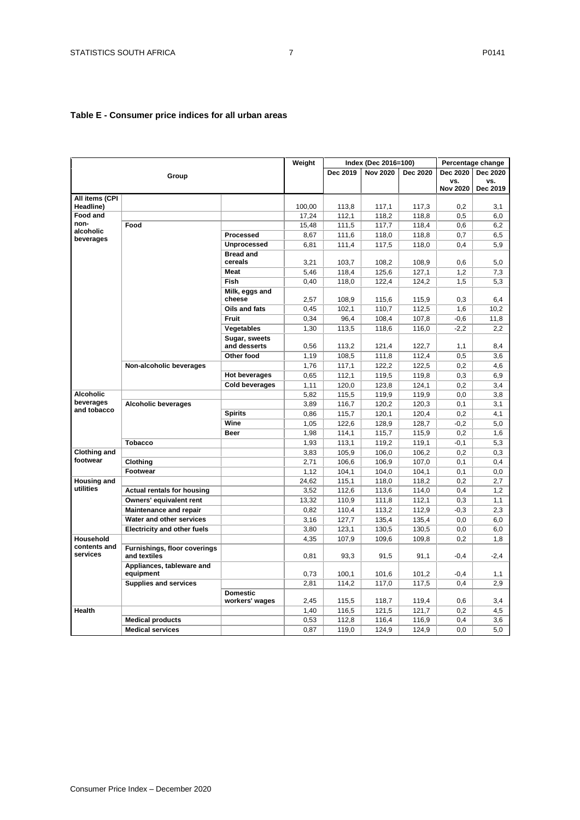## <span id="page-6-0"></span>**Table E - Consumer price indices for all urban areas**

|                          |                                              |                             | Weight |          | Index (Dec 2016=100) |          |                 | Percentage change |
|--------------------------|----------------------------------------------|-----------------------------|--------|----------|----------------------|----------|-----------------|-------------------|
|                          |                                              |                             |        | Dec 2019 | <b>Nov 2020</b>      | Dec 2020 | Dec 2020        | Dec 2020          |
|                          | Group                                        |                             |        |          |                      |          | VS.             | VS.               |
|                          |                                              |                             |        |          |                      |          | <b>Nov 2020</b> | Dec 2019          |
| All items (CPI           |                                              |                             |        |          |                      |          |                 |                   |
| Headline)<br>Food and    |                                              |                             | 100,00 | 113.8    | 117.1                | 117.3    | 0.2             | 3.1               |
| non-                     | Food                                         |                             | 17,24  | 112,1    | 118,2                | 118,8    | 0,5             | 6,0               |
| alcoholic                |                                              |                             | 15,48  | 111,5    | 117,7                | 118,4    | 0,6             | 6,2               |
| beverages                |                                              | Processed                   | 8,67   | 111,6    | 118,0                | 118,8    | 0,7             | 6,5               |
|                          |                                              | <b>Unprocessed</b>          | 6,81   | 111,4    | 117,5                | 118,0    | 0.4             | 5.9               |
|                          |                                              | <b>Bread and</b><br>cereals | 3,21   | 103,7    | 108,2                | 108,9    | 0,6             | 5,0               |
|                          |                                              | <b>Meat</b>                 | 5,46   | 118,4    | 125,6                | 127,1    | 1,2             | 7,3               |
|                          |                                              | <b>Fish</b>                 | 0,40   | 118,0    | 122,4                | 124,2    | 1,5             | 5,3               |
|                          |                                              | Milk, eggs and<br>cheese    | 2,57   | 108,9    | 115,6                | 115,9    | 0,3             | 6,4               |
|                          |                                              | Oils and fats               | 0,45   | 102,1    | 110,7                | 112,5    | 1,6             | 10,2              |
|                          |                                              | <b>Fruit</b>                | 0,34   | 96,4     | 108,4                | 107,8    | $-0,6$          | 11,8              |
|                          |                                              | Vegetables                  | 1,30   | 113,5    | 118,6                | 116,0    | $-2,2$          | 2,2               |
|                          |                                              | Sugar, sweets               |        |          |                      |          |                 |                   |
|                          |                                              | and desserts                | 0,56   | 113,2    | 121,4                | 122,7    | 1,1             | 8,4               |
|                          |                                              | Other food                  | 1,19   | 108,5    | 111,8                | 112,4    | 0,5             | 3,6               |
|                          | Non-alcoholic beverages                      |                             | 1,76   | 117,1    | 122,2                | 122,5    | 0,2             | 4,6               |
|                          |                                              | <b>Hot beverages</b>        | 0,65   | 112,1    | 119,5                | 119,8    | 0,3             | 6,9               |
|                          |                                              | <b>Cold beverages</b>       | 1.11   | 120,0    | 123,8                | 124.1    | 0.2             | 3.4               |
| <b>Alcoholic</b>         |                                              |                             | 5,82   | 115,5    | 119,9                | 119,9    | 0,0             | 3,8               |
| beverages<br>and tobacco | <b>Alcoholic beverages</b>                   |                             | 3,89   | 116,7    | 120,2                | 120,3    | 0,1             | 3,1               |
|                          |                                              | <b>Spirits</b>              | 0,86   | 115,7    | 120,1                | 120,4    | 0,2             | 4,1               |
|                          |                                              | Wine                        | 1,05   | 122,6    | 128,9                | 128,7    | $-0,2$          | 5,0               |
|                          |                                              | <b>Beer</b>                 | 1,98   | 114,1    | 115,7                | 115,9    | 0,2             | 1,6               |
|                          | <b>Tobacco</b>                               |                             | 1,93   | 113,1    | 119,2                | 119,1    | $-0,1$          | 5,3               |
| <b>Clothing and</b>      |                                              |                             | 3,83   | 105,9    | 106,0                | 106,2    | 0,2             | 0,3               |
| footwear                 | Clothing                                     |                             | 2,71   | 106,6    | 106,9                | 107,0    | 0,1             | 0,4               |
|                          | Footwear                                     |                             | 1,12   | 104,1    | 104,0                | 104,1    | 0,1             | 0,0               |
| <b>Housing and</b>       |                                              |                             | 24,62  | 115,1    | 118,0                | 118,2    | 0,2             | 2,7               |
| utilities                | <b>Actual rentals for housing</b>            |                             | 3,52   | 112,6    | 113,6                | 114,0    | 0,4             | 1,2               |
|                          | Owners' equivalent rent                      |                             | 13,32  | 110,9    | 111,8                | 112,1    | 0,3             | 1,1               |
|                          | <b>Maintenance and repair</b>                |                             | 0,82   | 110,4    | 113,2                | 112,9    | $-0,3$          | 2,3               |
|                          | Water and other services                     |                             | 3,16   | 127,7    | 135,4                | 135,4    | 0,0             | 6,0               |
|                          | <b>Electricity and other fuels</b>           |                             | 3,80   | 123,1    | 130,5                | 130,5    | 0,0             | 6,0               |
| Household                |                                              |                             | 4,35   | 107,9    | 109,6                | 109,8    | 0,2             | 1,8               |
| contents and<br>services | Furnishings, floor coverings<br>and textiles |                             | 0,81   | 93,3     | 91,5                 | 91,1     | $-0,4$          | $-2,4$            |
|                          | Appliances, tableware and<br>equipment       |                             | 0,73   | 100,1    | 101,6                | 101,2    | $-0,4$          | 1,1               |
|                          | <b>Supplies and services</b>                 |                             | 2,81   | 114,2    | 117,0                | 117,5    | 0,4             | 2,9               |
|                          |                                              | <b>Domestic</b>             |        |          |                      |          |                 |                   |
|                          |                                              | workers' wages              | 2,45   | 115,5    | 118,7                | 119,4    | 0,6             | 3.4               |
| <b>Health</b>            |                                              |                             | 1,40   | 116,5    | 121,5                | 121,7    | 0,2             | 4,5               |
|                          | <b>Medical products</b>                      |                             | 0,53   | 112,8    | 116,4                | 116,9    | 0.4             | 3,6               |
|                          | <b>Medical services</b>                      |                             | 0,87   | 119,0    | 124,9                | 124,9    | 0,0             | 5,0               |
|                          |                                              |                             |        |          |                      |          |                 |                   |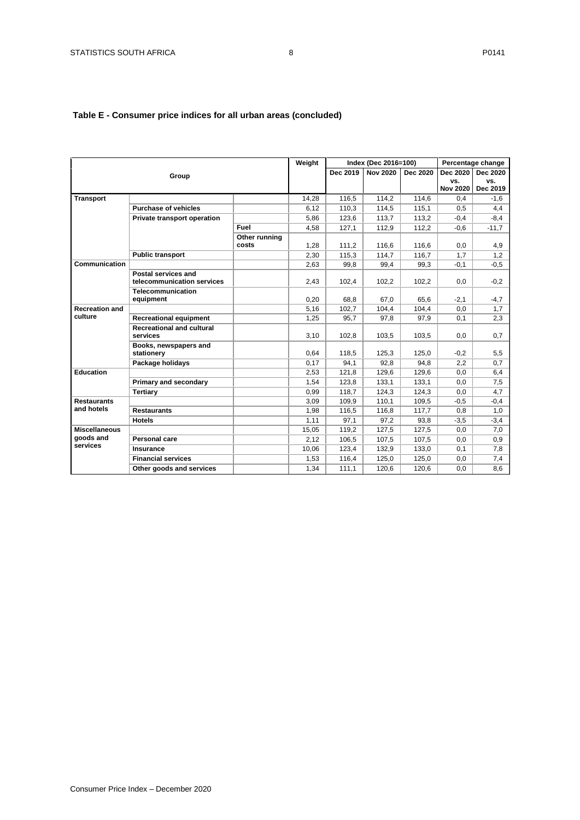## **Table E - Consumer price indices for all urban areas (concluded)**

|                                               |                                                   |               | Weight |          | Index (Dec 2016=100) |          |                 | Percentage change |
|-----------------------------------------------|---------------------------------------------------|---------------|--------|----------|----------------------|----------|-----------------|-------------------|
|                                               | Group                                             |               |        | Dec 2019 | <b>Nov 2020</b>      | Dec 2020 | Dec 2020        | Dec 2020          |
|                                               |                                                   |               |        |          |                      |          | VS.             | VS.               |
|                                               |                                                   |               |        |          |                      |          | <b>Nov 2020</b> | Dec 2019          |
| <b>Transport</b>                              |                                                   |               | 14,28  | 116,5    | 114,2                | 114,6    | 0,4             | $-1,6$            |
|                                               | <b>Purchase of vehicles</b>                       |               | 6,12   | 110,3    | 114,5                | 115,1    | 0,5             | 4,4               |
|                                               | Private transport operation                       |               | 5,86   | 123,6    | 113,7                | 113,2    | $-0,4$          | $-8,4$            |
|                                               |                                                   | Fuel          | 4,58   | 127,1    | 112,9                | 112,2    | $-0,6$          | $-11,7$           |
|                                               |                                                   | Other running |        |          |                      |          |                 |                   |
|                                               |                                                   | costs         | 1,28   | 111,2    | 116,6                | 116,6    | 0,0             | 4,9               |
|                                               | <b>Public transport</b>                           |               | 2,30   | 115,3    | 114,7                | 116,7    | 1,7             | 1,2               |
| Communication                                 |                                                   |               | 2,63   | 99,8     | 99,4                 | 99,3     | $-0,1$          | $-0,5$            |
|                                               | Postal services and<br>telecommunication services |               | 2,43   | 102,4    | 102,2                | 102,2    | 0,0             | $-0,2$            |
|                                               | Telecommunication<br>equipment                    |               | 0,20   | 68,8     | 67,0                 | 65,6     | $-2,1$          | $-4,7$            |
| <b>Recreation and</b>                         |                                                   |               | 5,16   | 102,7    | 104,4                | 104,4    | 0,0             | 1,7               |
| culture                                       | <b>Recreational equipment</b>                     |               | 1,25   | 95,7     | 97,8                 | 97,9     | 0,1             | 2,3               |
|                                               | <b>Recreational and cultural</b><br>services      |               | 3,10   | 102,8    | 103,5                | 103,5    | 0,0             | 0,7               |
|                                               | Books, newspapers and                             |               |        |          |                      |          |                 |                   |
|                                               | stationery                                        |               | 0,64   | 118,5    | 125,3                | 125,0    | $-0,2$          | 5,5               |
|                                               | Package holidays                                  |               | 0,17   | 94,1     | 92.8                 | 94,8     | 2,2             | 0,7               |
| <b>Education</b>                              |                                                   |               | 2,53   | 121,8    | 129,6                | 129,6    | 0,0             | 6,4               |
|                                               | Primary and secondary                             |               | 1,54   | 123,8    | 133,1                | 133,1    | 0,0             | 7,5               |
|                                               | <b>Tertiarv</b>                                   |               | 0.99   | 118.7    | 124,3                | 124.3    | 0,0             | 4,7               |
| <b>Restaurants</b>                            |                                                   |               | 3,09   | 109,9    | 110,1                | 109,5    | $-0,5$          | $-0,4$            |
| and hotels                                    | <b>Restaurants</b>                                |               | 1,98   | 116,5    | 116,8                | 117,7    | 0,8             | 1,0               |
|                                               | <b>Hotels</b>                                     |               | 1,11   | 97,1     | 97,2                 | 93,8     | $-3,5$          | $-3,4$            |
| <b>Miscellaneous</b><br>goods and<br>services |                                                   |               | 15,05  | 119,2    | 127,5                | 127,5    | 0,0             | 7,0               |
|                                               | <b>Personal care</b>                              |               | 2.12   | 106.5    | 107,5                | 107,5    | 0,0             | 0,9               |
|                                               | Insurance                                         |               | 10,06  | 123,4    | 132,9                | 133,0    | 0,1             | 7,8               |
|                                               | <b>Financial services</b>                         |               | 1,53   | 116.4    | 125,0                | 125,0    | 0,0             | 7,4               |
|                                               | Other goods and services                          |               | 1,34   | 111,1    | 120,6                | 120,6    | 0,0             | 8,6               |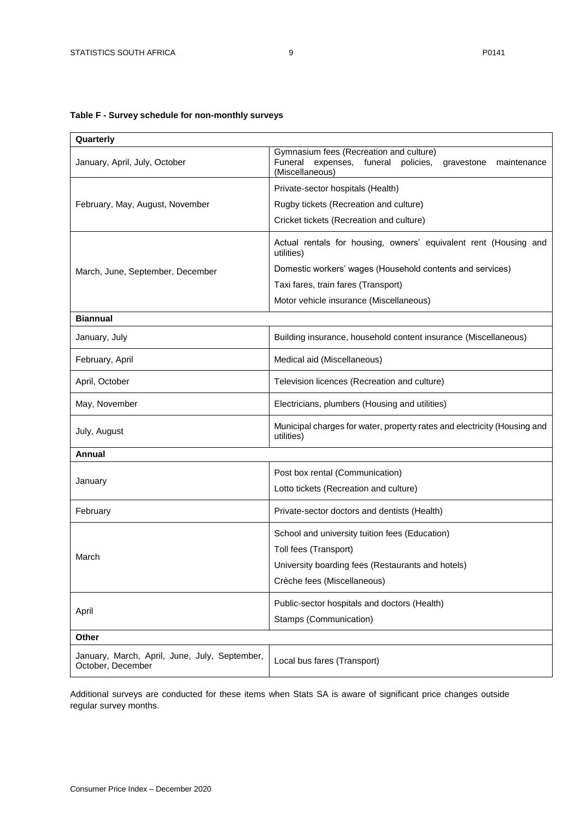## <span id="page-8-0"></span>**Table F - Survey schedule for non-monthly surveys**

| Quarterly                                                          |                                                                                                                                      |  |  |  |  |  |
|--------------------------------------------------------------------|--------------------------------------------------------------------------------------------------------------------------------------|--|--|--|--|--|
| January, April, July, October                                      | Gymnasium fees (Recreation and culture)<br>Funeral<br>expenses, funeral<br>policies,<br>maintenance<br>gravestone<br>(Miscellaneous) |  |  |  |  |  |
|                                                                    | Private-sector hospitals (Health)                                                                                                    |  |  |  |  |  |
| February, May, August, November                                    | Rugby tickets (Recreation and culture)                                                                                               |  |  |  |  |  |
|                                                                    | Cricket tickets (Recreation and culture)                                                                                             |  |  |  |  |  |
|                                                                    | Actual rentals for housing, owners' equivalent rent (Housing and<br>utilities)                                                       |  |  |  |  |  |
| March, June, September, December                                   | Domestic workers' wages (Household contents and services)                                                                            |  |  |  |  |  |
|                                                                    | Taxi fares, train fares (Transport)                                                                                                  |  |  |  |  |  |
|                                                                    | Motor vehicle insurance (Miscellaneous)                                                                                              |  |  |  |  |  |
| <b>Biannual</b>                                                    |                                                                                                                                      |  |  |  |  |  |
| January, July                                                      | Building insurance, household content insurance (Miscellaneous)                                                                      |  |  |  |  |  |
| February, April                                                    | Medical aid (Miscellaneous)                                                                                                          |  |  |  |  |  |
| April, October                                                     | Television licences (Recreation and culture)                                                                                         |  |  |  |  |  |
| May, November                                                      | Electricians, plumbers (Housing and utilities)                                                                                       |  |  |  |  |  |
| July, August                                                       | Municipal charges for water, property rates and electricity (Housing and<br>utilities)                                               |  |  |  |  |  |
| Annual                                                             |                                                                                                                                      |  |  |  |  |  |
|                                                                    | Post box rental (Communication)                                                                                                      |  |  |  |  |  |
| January                                                            | Lotto tickets (Recreation and culture)                                                                                               |  |  |  |  |  |
| February                                                           | Private-sector doctors and dentists (Health)                                                                                         |  |  |  |  |  |
|                                                                    | School and university tuition fees (Education)                                                                                       |  |  |  |  |  |
| March                                                              | Toll fees (Transport)                                                                                                                |  |  |  |  |  |
|                                                                    | University boarding fees (Restaurants and hotels)                                                                                    |  |  |  |  |  |
|                                                                    | Crèche fees (Miscellaneous)                                                                                                          |  |  |  |  |  |
|                                                                    | Public-sector hospitals and doctors (Health)                                                                                         |  |  |  |  |  |
| April                                                              | Stamps (Communication)                                                                                                               |  |  |  |  |  |
| Other                                                              |                                                                                                                                      |  |  |  |  |  |
| January, March, April, June, July, September,<br>October, December | Local bus fares (Transport)                                                                                                          |  |  |  |  |  |

Additional surveys are conducted for these items when Stats SA is aware of significant price changes outside regular survey months.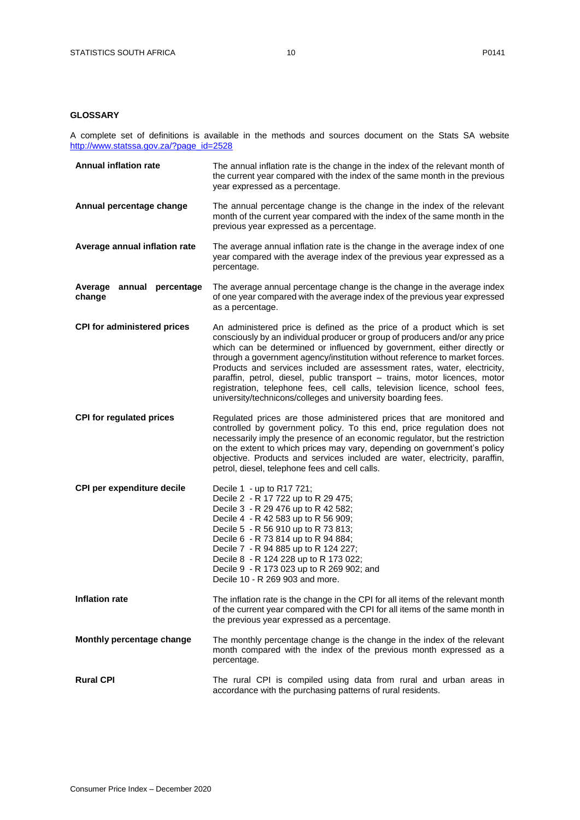### <span id="page-9-0"></span>**GLOSSARY**

A complete set of definitions is available in the methods and sources document on the Stats SA website [http://www.statssa.gov.za/?page\\_id=2528](http://www.statssa.gov.za/?page_id=2528)

| <b>Annual inflation rate</b>        | The annual inflation rate is the change in the index of the relevant month of<br>the current year compared with the index of the same month in the previous<br>year expressed as a percentage.                                                                                                                                                                                                                                                                                                                                                                                                                            |
|-------------------------------------|---------------------------------------------------------------------------------------------------------------------------------------------------------------------------------------------------------------------------------------------------------------------------------------------------------------------------------------------------------------------------------------------------------------------------------------------------------------------------------------------------------------------------------------------------------------------------------------------------------------------------|
| Annual percentage change            | The annual percentage change is the change in the index of the relevant<br>month of the current year compared with the index of the same month in the<br>previous year expressed as a percentage.                                                                                                                                                                                                                                                                                                                                                                                                                         |
| Average annual inflation rate       | The average annual inflation rate is the change in the average index of one<br>year compared with the average index of the previous year expressed as a<br>percentage.                                                                                                                                                                                                                                                                                                                                                                                                                                                    |
| Average annual percentage<br>change | The average annual percentage change is the change in the average index<br>of one year compared with the average index of the previous year expressed<br>as a percentage.                                                                                                                                                                                                                                                                                                                                                                                                                                                 |
| <b>CPI for administered prices</b>  | An administered price is defined as the price of a product which is set<br>consciously by an individual producer or group of producers and/or any price<br>which can be determined or influenced by government, either directly or<br>through a government agency/institution without reference to market forces.<br>Products and services included are assessment rates, water, electricity,<br>paraffin, petrol, diesel, public transport - trains, motor licences, motor<br>registration, telephone fees, cell calls, television licence, school fees,<br>university/technicons/colleges and university boarding fees. |
| <b>CPI for regulated prices</b>     | Regulated prices are those administered prices that are monitored and<br>controlled by government policy. To this end, price regulation does not<br>necessarily imply the presence of an economic regulator, but the restriction<br>on the extent to which prices may vary, depending on government's policy<br>objective. Products and services included are water, electricity, paraffin,<br>petrol, diesel, telephone fees and cell calls.                                                                                                                                                                             |
| CPI per expenditure decile          | Decile 1 - up to R17 721;<br>Decile 2 - R 17 722 up to R 29 475;<br>Decile 3 - R 29 476 up to R 42 582;<br>Decile 4 - R 42 583 up to R 56 909;<br>Decile 5 - R 56 910 up to R 73 813;<br>Decile 6 - R 73 814 up to R 94 884;<br>Decile 7 - R 94 885 up to R 124 227;<br>Decile 8 - R 124 228 up to R 173 022;<br>Decile 9 - R 173 023 up to R 269 902; and<br>Decile 10 - R 269 903 and more.                                                                                                                                                                                                                             |
| <b>Inflation rate</b>               | The inflation rate is the change in the CPI for all items of the relevant month<br>of the current year compared with the CPI for all items of the same month in<br>the previous year expressed as a percentage.                                                                                                                                                                                                                                                                                                                                                                                                           |
| Monthly percentage change           | The monthly percentage change is the change in the index of the relevant<br>month compared with the index of the previous month expressed as a<br>percentage.                                                                                                                                                                                                                                                                                                                                                                                                                                                             |
| <b>Rural CPI</b>                    | The rural CPI is compiled using data from rural and urban areas in<br>accordance with the purchasing patterns of rural residents.                                                                                                                                                                                                                                                                                                                                                                                                                                                                                         |